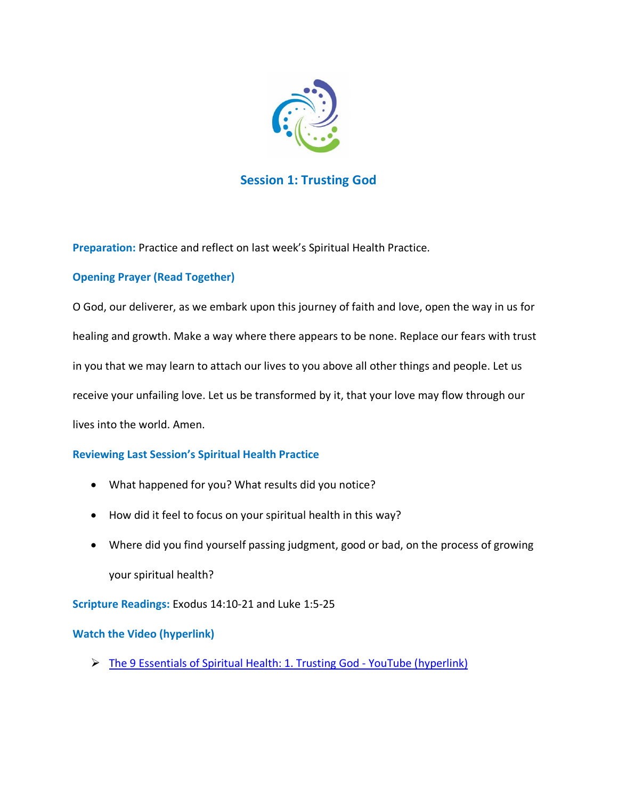

# **Session 1: Trusting God**

**Preparation:** Practice and reflect on last week's Spiritual Health Practice.

## **Opening Prayer (Read Together)**

O God, our deliverer, as we embark upon this journey of faith and love, open the way in us for healing and growth. Make a way where there appears to be none. Replace our fears with trust in you that we may learn to attach our lives to you above all other things and people. Let us receive your unfailing love. Let us be transformed by it, that your love may flow through our lives into the world. Amen.

## **Reviewing Last Session's Spiritual Health Practice**

- What happened for you? What results did you notice?
- How did it feel to focus on your spiritual health in this way?
- Where did you find yourself passing judgment, good or bad, on the process of growing your spiritual health?

**Scripture Readings:** Exodus 14:10-21 and Luke 1:5-25

## **Watch the Video (hyperlink)**

[The 9 Essentials of Spiritual Health: 1. Trusting God -](https://www.youtube.com/watch?v=s7YJ08D6h88&t=8s) YouTube (hyperlink)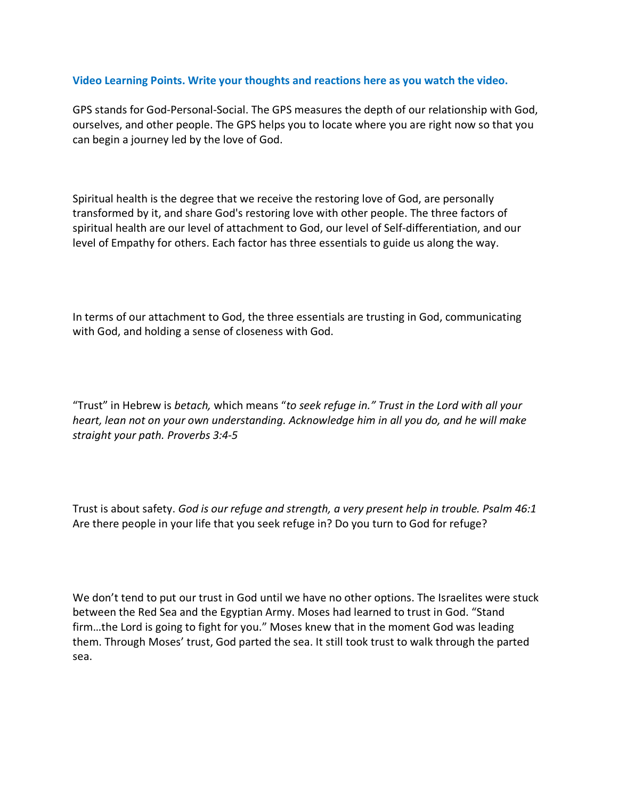#### **Video Learning Points. Write your thoughts and reactions here as you watch the video.**

GPS stands for God-Personal-Social. The GPS measures the depth of our relationship with God, ourselves, and other people. The GPS helps you to locate where you are right now so that you can begin a journey led by the love of God.

Spiritual health is the degree that we receive the restoring love of God, are personally transformed by it, and share God's restoring love with other people. The three factors of spiritual health are our level of attachment to God, our level of Self-differentiation, and our level of Empathy for others. Each factor has three essentials to guide us along the way.

In terms of our attachment to God, the three essentials are trusting in God, communicating with God, and holding a sense of closeness with God.

"Trust" in Hebrew is *betach,* which means "*to seek refuge in." Trust in the Lord with all your heart, lean not on your own understanding. Acknowledge him in all you do, and he will make straight your path. Proverbs 3:4-5* 

Trust is about safety. *God is our refuge and strength, a very present help in trouble. Psalm 46:1* Are there people in your life that you seek refuge in? Do you turn to God for refuge?

We don't tend to put our trust in God until we have no other options. The Israelites were stuck between the Red Sea and the Egyptian Army. Moses had learned to trust in God. "Stand firm…the Lord is going to fight for you." Moses knew that in the moment God was leading them. Through Moses' trust, God parted the sea. It still took trust to walk through the parted sea.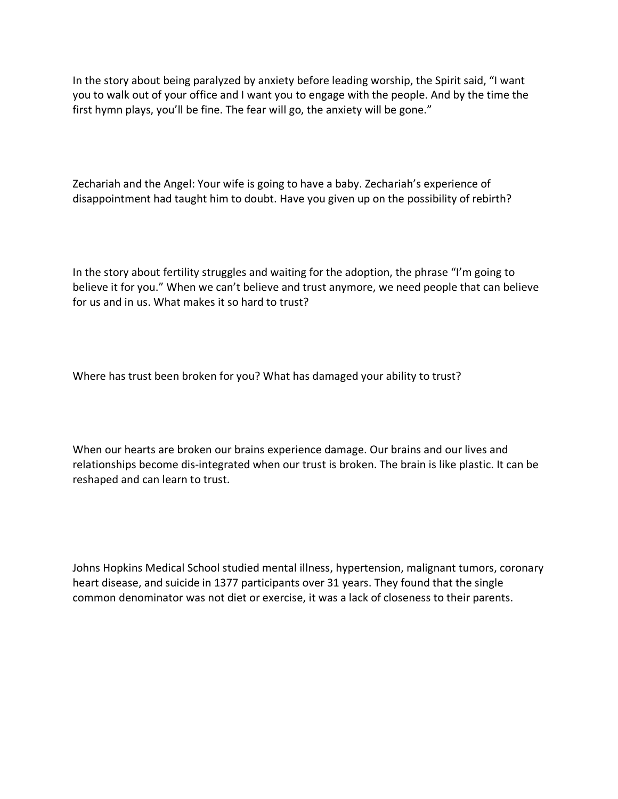In the story about being paralyzed by anxiety before leading worship, the Spirit said, "I want you to walk out of your office and I want you to engage with the people. And by the time the first hymn plays, you'll be fine. The fear will go, the anxiety will be gone."

Zechariah and the Angel: Your wife is going to have a baby. Zechariah's experience of disappointment had taught him to doubt. Have you given up on the possibility of rebirth?

In the story about fertility struggles and waiting for the adoption, the phrase "I'm going to believe it for you." When we can't believe and trust anymore, we need people that can believe for us and in us. What makes it so hard to trust?

Where has trust been broken for you? What has damaged your ability to trust?

When our hearts are broken our brains experience damage. Our brains and our lives and relationships become dis-integrated when our trust is broken. The brain is like plastic. It can be reshaped and can learn to trust.

Johns Hopkins Medical School studied mental illness, hypertension, malignant tumors, coronary heart disease, and suicide in 1377 participants over 31 years. They found that the single common denominator was not diet or exercise, it was a lack of closeness to their parents.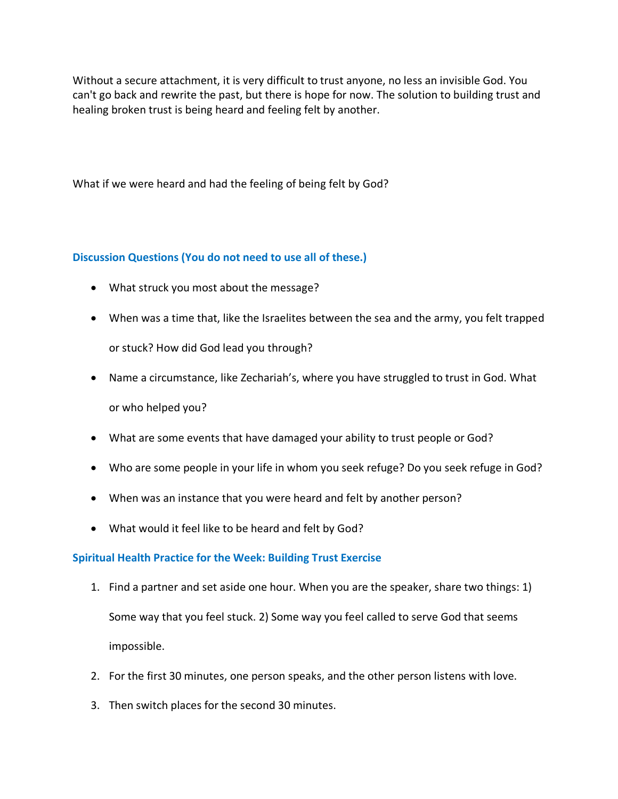Without a secure attachment, it is very difficult to trust anyone, no less an invisible God. You can't go back and rewrite the past, but there is hope for now. The solution to building trust and healing broken trust is being heard and feeling felt by another.

What if we were heard and had the feeling of being felt by God?

### **Discussion Questions (You do not need to use all of these.)**

- What struck you most about the message?
- When was a time that, like the Israelites between the sea and the army, you felt trapped or stuck? How did God lead you through?
- Name a circumstance, like Zechariah's, where you have struggled to trust in God. What or who helped you?
- What are some events that have damaged your ability to trust people or God?
- Who are some people in your life in whom you seek refuge? Do you seek refuge in God?
- When was an instance that you were heard and felt by another person?
- What would it feel like to be heard and felt by God?

#### **Spiritual Health Practice for the Week: Building Trust Exercise**

- 1. Find a partner and set aside one hour. When you are the speaker, share two things: 1) Some way that you feel stuck. 2) Some way you feel called to serve God that seems impossible.
- 2. For the first 30 minutes, one person speaks, and the other person listens with love.
- 3. Then switch places for the second 30 minutes.